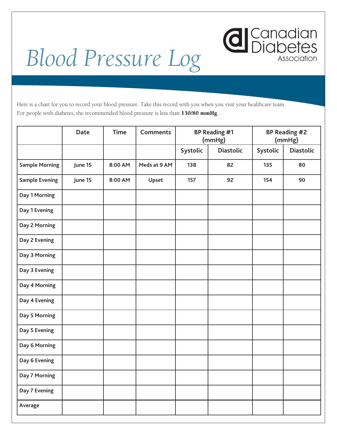

## *Blood Pressure Log*

Here is a chart for you to record your blood pressure. Take this record with you when you visit your healthcare team. For people with diabetes, the recommended blood pressure is less than 130/80 mmHg**.** 

|                       | <b>Date</b> | <b>Time</b> | <b>Comments</b> | <b>BP Reading #1</b><br>(mmHg) |                  | <b>BP Reading #2</b><br>(mmHg) |                  |
|-----------------------|-------------|-------------|-----------------|--------------------------------|------------------|--------------------------------|------------------|
|                       |             |             |                 | Systolic                       | <b>Diastolic</b> | Systolic                       | <b>Diastolic</b> |
| <b>Sample Morning</b> | June 15     | 8:00 AM     | Meds at 9 AM    | 138                            | 82               | 135                            | 80               |
| <b>Sample Evening</b> | June 15     | 8:00 AM     | Upset           | 157                            | 92               | 154                            | 90               |
| Day 1 Morning         |             |             |                 |                                |                  |                                |                  |
| Day 1 Evening         |             |             |                 |                                |                  |                                |                  |
| Day 2 Morning         |             |             |                 |                                |                  |                                |                  |
| Day 2 Evening         |             |             |                 |                                |                  |                                |                  |
| Day 3 Morning         |             |             |                 |                                |                  |                                |                  |
| Day 3 Evening         |             |             |                 |                                |                  |                                |                  |
| Day 4 Morning         |             |             |                 |                                |                  |                                |                  |
| Day 4 Evening         |             |             |                 |                                |                  |                                |                  |
| Day 5 Morning         |             |             |                 |                                |                  |                                |                  |
| Day 5 Evening         |             |             |                 |                                |                  |                                |                  |
| Day 6 Morning         |             |             |                 |                                |                  |                                |                  |
| Day 6 Evening         |             |             |                 |                                |                  |                                |                  |
| Day 7 Morning         |             |             |                 |                                |                  |                                |                  |
| Day 7 Evening         |             |             |                 |                                |                  |                                |                  |
| Average               |             |             |                 |                                |                  |                                |                  |